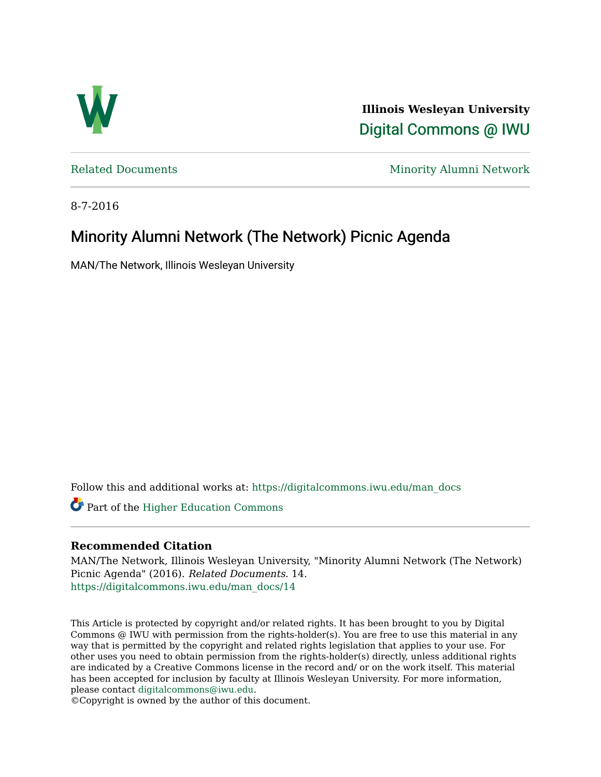

**Illinois Wesleyan University**  [Digital Commons @ IWU](https://digitalcommons.iwu.edu/) 

[Related Documents](https://digitalcommons.iwu.edu/man_docs) Minority Alumni Network

8-7-2016

# Minority Alumni Network (The Network) Picnic Agenda

MAN/The Network, Illinois Wesleyan University

Follow this and additional works at: [https://digitalcommons.iwu.edu/man\\_docs](https://digitalcommons.iwu.edu/man_docs?utm_source=digitalcommons.iwu.edu%2Fman_docs%2F14&utm_medium=PDF&utm_campaign=PDFCoverPages) 

Part of the [Higher Education Commons](http://network.bepress.com/hgg/discipline/1245?utm_source=digitalcommons.iwu.edu%2Fman_docs%2F14&utm_medium=PDF&utm_campaign=PDFCoverPages) 

# **Recommended Citation**

MAN/The Network, Illinois Wesleyan University, "Minority Alumni Network (The Network) Picnic Agenda" (2016). Related Documents. 14. [https://digitalcommons.iwu.edu/man\\_docs/14](https://digitalcommons.iwu.edu/man_docs/14?utm_source=digitalcommons.iwu.edu%2Fman_docs%2F14&utm_medium=PDF&utm_campaign=PDFCoverPages)

This Article is protected by copyright and/or related rights. It has been brought to you by Digital Commons @ IWU with permission from the rights-holder(s). You are free to use this material in any way that is permitted by the copyright and related rights legislation that applies to your use. For other uses you need to obtain permission from the rights-holder(s) directly, unless additional rights are indicated by a Creative Commons license in the record and/ or on the work itself. This material has been accepted for inclusion by faculty at Illinois Wesleyan University. For more information, please contact [digitalcommons@iwu.edu.](mailto:digitalcommons@iwu.edu)

©Copyright is owned by the author of this document.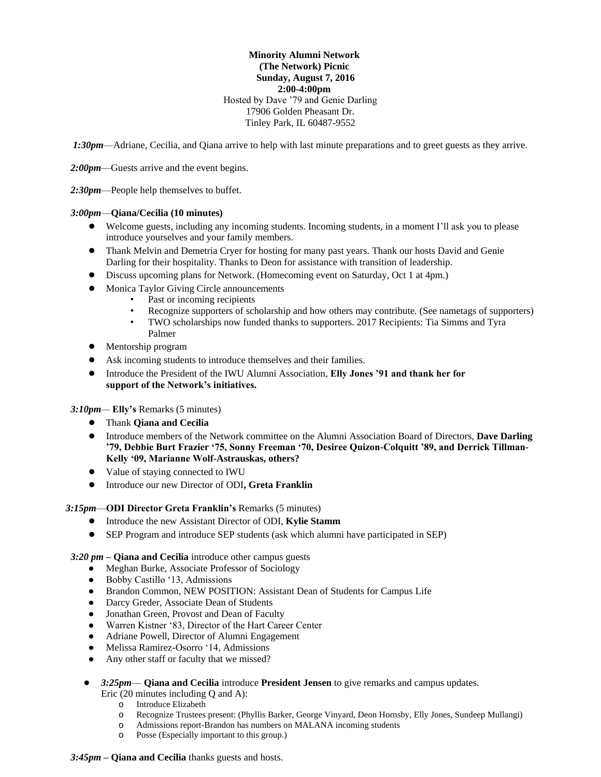# **Minority Alumni Network (The Network) Picnic Sunday, August 7, 2016 2:00-4:00pm** Hosted by Dave '79 and Genie Darling 17906 Golden Pheasant Dr. Tinley Park, IL 60487-9552

*1:30pm*—Adriane, Cecilia, and Qiana arrive to help with last minute preparations and to greet guests as they arrive.

*2:00pm*—Guests arrive and the event begins.

*2:30pm*—People help themselves to buffet.

## *3:00pm*—**Qiana/Cecilia (10 minutes)**

- Welcome guests, including any incoming students. Incoming students, in a moment I'll ask you to please introduce yourselves and your family members.
- Thank Melvin and Demetria Cryer for hosting for many past years. Thank our hosts David and Genie Darling for their hospitality. Thanks to Deon for assistance with transition of leadership.
- Discuss upcoming plans for Network. (Homecoming event on Saturday, Oct 1 at 4pm.)
- Monica Taylor Giving Circle announcements
	- Past or incoming recipients
	- Recognize supporters of scholarship and how others may contribute. (See nametags of supporters)
	- TWO scholarships now funded thanks to supporters. 2017 Recipients: Tia Simms and Tyra Palmer
- Mentorship program
- Ask incoming students to introduce themselves and their families.
- Introduce the President of the IWU Alumni Association, **Elly Jones '91 and thank her for support of the Network's initiatives.**

# *3:10pm—* **Elly's** Remarks (5 minutes)

- Thank **Qiana and Cecilia**
- Introduce members of the Network committee on the Alumni Association Board of Directors, **Dave Darling '79, Debbie Burt Frazier '75, Sonny Freeman '70, Desiree Quizon-Colquitt '89, and Derrick Tillman-Kelly '09, Marianne Wolf-Astrauskas, others?**
- Value of staying connected to IWU
- Introduce our new Director of ODI**, Greta Franklin**

*3:15pm*—**ODI Director Greta Franklin's** Remarks (5 minutes)

- Introduce the new Assistant Director of ODI, **Kylie Stamm**
- SEP Program and introduce SEP students (ask which alumni have participated in SEP)

#### *3:20 pm* **– Qiana and Cecilia** introduce other campus guests

- Meghan Burke, Associate Professor of Sociology
- Bobby Castillo '13, Admissions
- Brandon Common, NEW POSITION: Assistant Dean of Students for Campus Life
- Darcy Greder, Associate Dean of Students
- Jonathan Green, Provost and Dean of Faculty
- Warren Kistner '83, Director of the Hart Career Center
- Adriane Powell, Director of Alumni Engagement
- Melissa Ramirez-Osorro '14, Admissions
- Any other staff or faculty that we missed?
- *3:25pm* **Qiana and Cecilia** introduce **President Jensen** to give remarks and campus updates.
	- Eric (20 minutes including Q and A):
		- o Introduce Elizabeth
		- o Recognize Trustees present: (Phyllis Barker, George Vinyard, Deon Hornsby, Elly Jones, Sundeep Mullangi)
		- o Admissions report-Brandon has numbers on MALANA incoming students
		- o Posse (Especially important to this group.)

# *3:45pm* **– Qiana and Cecilia** thanks guests and hosts.